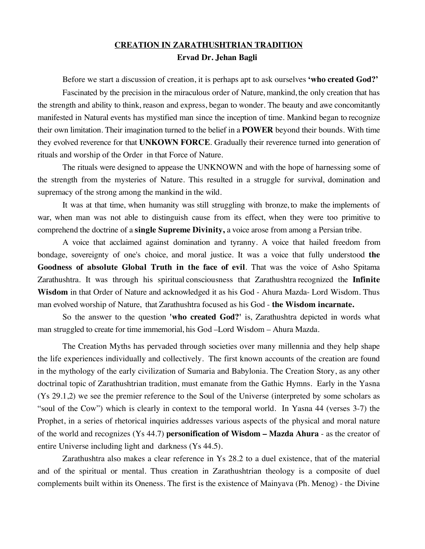## **CREATION IN ZARATHUSHTRIAN TRADITION Ervad Dr. Jehan Bagli**

Before we start a discussion of creation, it is perhaps apt to ask ourselves **'who created God?'**  Fascinated by the precision in the miraculous order of Nature, mankind, the only creation that has the strength and ability to think, reason and express, began to wonder. The beauty and awe concomitantly manifested in Natural events has mystified man since the inception of time. Mankind began to recognize their own limitation. Their imagination turned to the belief in a **POWER** beyond their bounds. With time they evolved reverence for that **UNKOWN FORCE**. Gradually their reverence turned into generation of rituals and worship of the Order in that Force of Nature.

The rituals were designed to appease the UNKNOWN and with the hope of harnessing some of the strength from the mysteries of Nature. This resulted in a struggle for survival, domination and supremacy of the strong among the mankind in the wild.

It was at that time, when humanity was still struggling with bronze, to make the implements of war, when man was not able to distinguish cause from its effect, when they were too primitive to comprehend the doctrine of a **single Supreme Divinity,** a voice arose from among a Persian tribe.

A voice that acclaimed against domination and tyranny. A voice that hailed freedom from bondage, sovereignty of one's choice, and moral justice. It was a voice that fully understood **the Goodness of absolute Global Truth in the face of evil**. That was the voice of Asho Spitama Zarathushtra. It was through his spiritual consciousness that Zarathushtra recognized the **Infinite Wisdom** in that Order of Nature and acknowledged it as his God - Ahura Mazda- Lord Wisdom. Thus man evolved worship of Nature, that Zarathushtra focused as his God - **the Wisdom incarnate.**

So the answer to the question **'who created God?'** is, Zarathushtra depicted in words what man struggled to create for time immemorial, his God –Lord Wisdom – Ahura Mazda.

The Creation Myths has pervaded through societies over many millennia and they help shape the life experiences individually and collectively. The first known accounts of the creation are found in the mythology of the early civilization of Sumaria and Babylonia. The Creation Story, as any other doctrinal topic of Zarathushtrian tradition, must emanate from the Gathic Hymns. Early in the Yasna (Ys 29.1,2) we see the premier reference to the Soul of the Universe (interpreted by some scholars as "soul of the Cow") which is clearly in context to the temporal world. In Yasna 44 (verses 3-7) the Prophet, in a series of rhetorical inquiries addresses various aspects of the physical and moral nature of the world and recognizes (Ys 44.7) **personification of Wisdom – Mazda Ahura** - as the creator of entire Universe including light and darkness (Ys 44.5).

Zarathushtra also makes a clear reference in Ys 28.2 to a duel existence, that of the material and of the spiritual or mental. Thus creation in Zarathushtrian theology is a composite of duel complements built within its Oneness. The first is the existence of Mainyava (Ph. Menog) - the Divine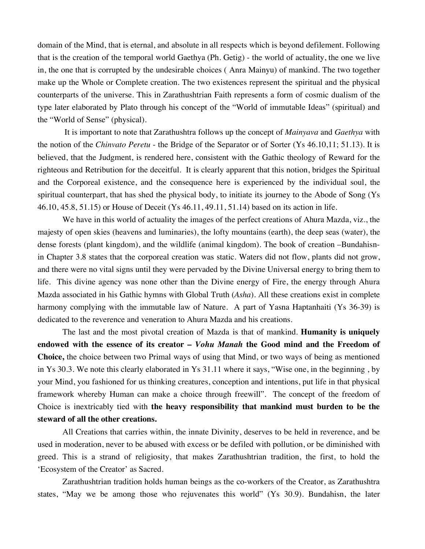domain of the Mind, that is eternal, and absolute in all respects which is beyond defilement. Following that is the creation of the temporal world Gaethya (Ph. Getig) - the world of actuality, the one we live in, the one that is corrupted by the undesirable choices ( Anra Mainyu) of mankind. The two together make up the Whole or Complete creation. The two existences represent the spiritual and the physical counterparts of the universe. This in Zarathushtrian Faith represents a form of cosmic dualism of the type later elaborated by Plato through his concept of the "World of immutable Ideas" (spiritual) and the "World of Sense" (physical).

 It is important to note that Zarathushtra follows up the concept of *Mainyava* and *Gaethya* with the notion of the *Chinvato Peretu* - the Bridge of the Separator or of Sorter (Ys 46.10,11; 51.13). It is believed, that the Judgment, is rendered here, consistent with the Gathic theology of Reward for the righteous and Retribution for the deceitful. It is clearly apparent that this notion, bridges the Spiritual and the Corporeal existence, and the consequence here is experienced by the individual soul, the spiritual counterpart, that has shed the physical body, to initiate its journey to the Abode of Song (Ys 46.10, 45.8, 51.15) or House of Deceit (Ys 46.11, 49.11, 51.14) based on its action in life.

We have in this world of actuality the images of the perfect creations of Ahura Mazda, viz., the majesty of open skies (heavens and luminaries), the lofty mountains (earth), the deep seas (water), the dense forests (plant kingdom), and the wildlife (animal kingdom). The book of creation –Bundahisnin Chapter 3.8 states that the corporeal creation was static. Waters did not flow, plants did not grow, and there were no vital signs until they were pervaded by the Divine Universal energy to bring them to life. This divine agency was none other than the Divine energy of Fire, the energy through Ahura Mazda associated in his Gathic hymns with Global Truth (*Asha*). All these creations exist in complete harmony complying with the immutable law of Nature. A part of Yasna Haptanhaiti (Ys 36-39) is dedicated to the reverence and veneration to Ahura Mazda and his creations.

The last and the most pivotal creation of Mazda is that of mankind. **Humanity is uniquely endowed with the essence of its creator –** *Vohu Manah* **the Good mind and the Freedom of Choice,** the choice between two Primal ways of using that Mind, or two ways of being as mentioned in Ys 30.3. We note this clearly elaborated in Ys 31.11 where it says, "Wise one, in the beginning , by your Mind, you fashioned for us thinking creatures, conception and intentions, put life in that physical framework whereby Human can make a choice through freewill". The concept of the freedom of Choice is inextricably tied with **the heavy responsibility that mankind must burden to be the steward of all the other creations.**

All Creations that carries within, the innate Divinity, deserves to be held in reverence, and be used in moderation, never to be abused with excess or be defiled with pollution, or be diminished with greed. This is a strand of religiosity, that makes Zarathushtrian tradition, the first, to hold the 'Ecosystem of the Creator' as Sacred.

Zarathushtrian tradition holds human beings as the co-workers of the Creator, as Zarathushtra states, "May we be among those who rejuvenates this world" (Ys 30.9). Bundahisn, the later